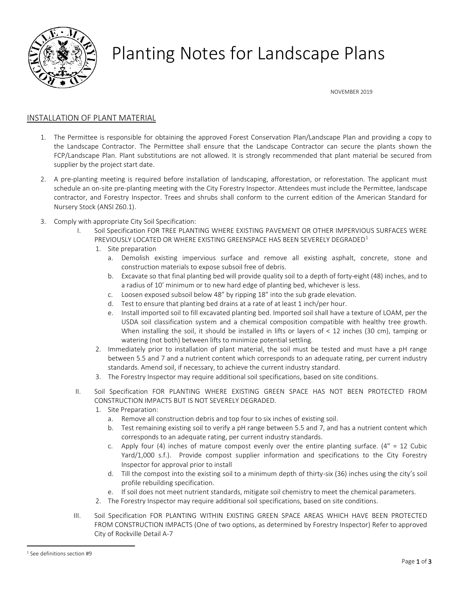

## Planting Notes for Landscape Plans

NOVEMBER 2019

## INSTALLATION OF PLANT MATERIAL

- 1. The Permittee is responsible for obtaining the approved Forest Conservation Plan/Landscape Plan and providing a copy to the Landscape Contractor. The Permittee shall ensure that the Landscape Contractor can secure the plants shown the FCP/Landscape Plan. Plant substitutions are not allowed. It is strongly recommended that plant material be secured from supplier by the project start date.
- 2. A pre-planting meeting is required before installation of landscaping, afforestation, or reforestation. The applicant must schedule an on-site pre-planting meeting with the City Forestry Inspector. Attendees must include the Permittee, landscape contractor, and Forestry Inspector. Trees and shrubs shall conform to the current edition of the American Standard for Nursery Stock (ANSI Z60.1).
- 3. Comply with appropriate City Soil Specification:
	- I. Soil Specification FOR TREE PLANTING WHERE EXISTING PAVEMENT OR OTHER IMPERVIOUS SURFACES WERE PREVIOUSLY LOCATED OR WHERE EXISTING GREENSPACE HAS BEEN SEVERELY DEGRADED<sup>[1](#page-0-0)</sup>
		- 1. Site preparation
			- a. Demolish existing impervious surface and remove all existing asphalt, concrete, stone and construction materials to expose subsoil free of debris.
			- b. Excavate so that final planting bed will provide quality soil to a depth of forty-eight (48) inches, and to a radius of 10' minimum or to new hard edge of planting bed, whichever is less.
			- c. Loosen exposed subsoil below 48" by ripping 18" into the sub grade elevation.
			- d. Test to ensure that planting bed drains at a rate of at least 1 inch/per hour.
			- e. Install imported soil to fill excavated planting bed. Imported soil shall have a texture of LOAM, per the USDA soil classification system and a chemical composition compatible with healthy tree growth. When installing the soil, it should be installed in lifts or layers of < 12 inches (30 cm), tamping or watering (not both) between lifts to minimize potential settling.
		- 2. Immediately prior to installation of plant material, the soil must be tested and must have a pH range between 5.5 and 7 and a nutrient content which corresponds to an adequate rating, per current industry standards. Amend soil, if necessary, to achieve the current industry standard.
		- 3. The Forestry Inspector may require additional soil specifications, based on site conditions.
	- II. Soil Specification FOR PLANTING WHERE EXISTING GREEN SPACE HAS NOT BEEN PROTECTED FROM CONSTRUCTION IMPACTS BUT IS NOT SEVERELY DEGRADED.
		- 1. Site Preparation:
			- a. Remove all construction debris and top four to six inches of existing soil.
			- b. Test remaining existing soil to verify a pH range between 5.5 and 7, and has a nutrient content which corresponds to an adequate rating, per current industry standards.
			- c. Apply four (4) inches of mature compost evenly over the entire planting surface. ( $4" = 12$  Cubic Yard/1,000 s.f.). Provide compost supplier information and specifications to the City Forestry Inspector for approval prior to install
			- d. Till the compost into the existing soil to a minimum depth of thirty-six (36) inches using the city's soil profile rebuilding specification.
			- e. If soil does not meet nutrient standards, mitigate soil chemistry to meet the chemical parameters.
		- 2. The Forestry Inspector may require additional soil specifications, based on site conditions.
	- III. Soil Specification FOR PLANTING WITHIN EXISTING GREEN SPACE AREAS WHICH HAVE BEEN PROTECTED FROM CONSTRUCTION IMPACTS (One of two options, as determined by Forestry Inspector) Refer to approved City of Rockville Detail A-7

<span id="page-0-0"></span> <sup>1</sup> See definitions section #9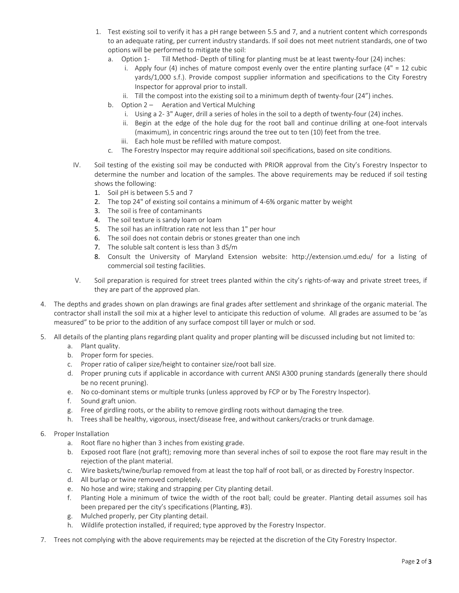- 1. Test existing soil to verify it has a pH range between 5.5 and 7, and a nutrient content which corresponds to an adequate rating, per current industry standards. If soil does not meet nutrient standards, one of two options will be performed to mitigate the soil:
	- a. Option 1- Till Method- Depth of tilling for planting must be at least twenty-four (24) inches:
		- i. Apply four (4) inches of mature compost evenly over the entire planting surface ( $4" = 12$  cubic yards/1,000 s.f.). Provide compost supplier information and specifications to the City Forestry Inspector for approval prior to install.
		- ii. Till the compost into the existing soil to a minimum depth of twenty-four (24") inches.
	- b. Option 2 Aeration and Vertical Mulching
		- i. Using a 2- 3" Auger, drill a series of holes in the soil to a depth of twenty-four (24) inches.
		- ii. Begin at the edge of the hole dug for the root ball and continue drilling at one-foot intervals (maximum), in concentric rings around the tree out to ten (10) feet from the tree.
		- iii. Each hole must be refilled with mature compost.
	- c. The Forestry Inspector may require additional soil specifications, based on site conditions.
- IV. Soil testing of the existing soil may be conducted with PRIOR approval from the City's Forestry Inspector to determine the number and location of the samples. The above requirements may be reduced if soil testing shows the following:
	- 1. Soil pH is between 5.5 and 7
	- 2. The top 24" of existing soil contains a minimum of 4-6% organic matter by weight
	- 3. The soil is free of contaminants
	- 4. The soil texture is sandy loam or loam
	- 5. The soil has an infiltration rate not less than 1" per hour
	- 6. The soil does not contain debris or stones greater than one inch
	- 7. The soluble salt content is less than 3 dS/m
	- 8. Consult the University of Maryland Extension website: <http://extension.umd.edu/> for a listing of commercial soil testing facilities.
- V. Soil preparation is required for street trees planted within the city's rights-of-way and private street trees, if they are part of the approved plan.
- 4. The depths and grades shown on plan drawings are final grades after settlement and shrinkage of the organic material. The contractor shall install the soil mix at a higher level to anticipate this reduction of volume. All grades are assumed to be 'as measured" to be prior to the addition of any surface compost till layer or mulch or sod.
- 5. All details of the planting plans regarding plant quality and proper planting will be discussed including but not limited to:
	- a. Plant quality.
	- b. Proper form for species.
	- c. Proper ratio of caliper size/height to container size/root ball size.
	- d. Proper pruning cuts if applicable in accordance with current ANSI A300 pruning standards (generally there should be no recent pruning).
	- e. No co-dominant stems or multiple trunks (unless approved by FCP or by The Forestry Inspector).
	- f. Sound graft union.
	- g. Free of girdling roots, or the ability to remove girdling roots without damaging the tree.
	- h. Trees shall be healthy, vigorous, insect/disease free, andwithout cankers/cracks or trunk damage.
- 6. Proper Installation
	- a. Root flare no higher than 3 inches from existing grade.
	- b. Exposed root flare (not graft); removing more than several inches of soil to expose the root flare may result in the rejection of the plant material.
	- c. Wire baskets/twine/burlap removed from at least the top half of root ball, or as directed by Forestry Inspector.
	- d. All burlap or twine removed completely.
	- e. No hose and wire; staking and strapping per City planting detail.
	- f. Planting Hole a minimum of twice the width of the root ball; could be greater. Planting detail assumes soil has been prepared per the city's specifications (Planting, #3).
	- g. Mulched properly, per City planting detail.
	- h. Wildlife protection installed, if required; type approved by the Forestry Inspector.
- 7. Trees not complying with the above requirements may be rejected at the discretion of the City Forestry Inspector.